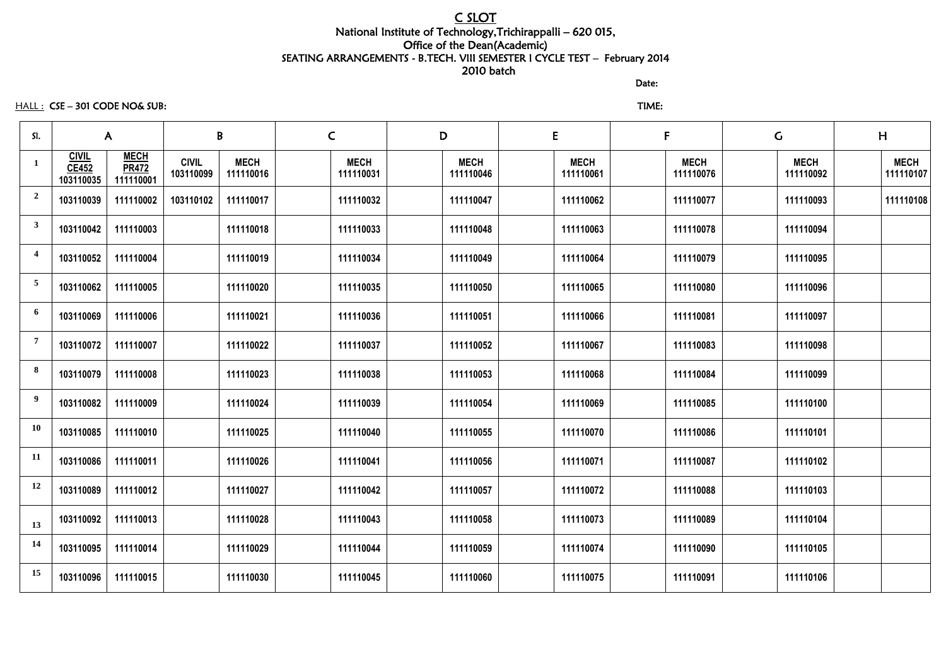## C SLOT National Institute of Technology,Trichirappalli – 620 015, Office of the Dean(Academic) SEATING ARRANGEMENTS - B.TECH. VIII SEMESTER I CYCLE TEST – February 2014 2010 batch

discussion of the contract of the contract of the Date:

HALL : CSE – 301 CODE NO& SUB: TIME:

| SI.            | $\mathsf{A}$                              |                                          | B                         | $\mathsf{C}$             | D                        | E                        | F                        | $\mathsf C$              | H                        |                          |
|----------------|-------------------------------------------|------------------------------------------|---------------------------|--------------------------|--------------------------|--------------------------|--------------------------|--------------------------|--------------------------|--------------------------|
| 1              | <b>CIVIL</b><br><b>CE452</b><br>103110035 | <b>MECH</b><br><b>PR472</b><br>111110001 | <b>CIVIL</b><br>103110099 | <b>MECH</b><br>111110016 | <b>MECH</b><br>111110031 | <b>MECH</b><br>111110046 | <b>MECH</b><br>111110061 | <b>MECH</b><br>111110076 | <b>MECH</b><br>111110092 | <b>MECH</b><br>111110107 |
| $\overline{2}$ | 103110039                                 | 111110002                                | 103110102                 | 111110017                | 111110032                | 111110047                | 111110062                | 111110077                | 111110093                | 111110108                |
| $\mathbf{3}$   | 103110042                                 | 111110003                                |                           | 111110018                | 111110033                | 111110048                | 111110063                | 111110078                | 111110094                |                          |
| $\overline{4}$ | 103110052                                 | 111110004                                |                           | 111110019                | 111110034                | 111110049                | 111110064                | 111110079                | 111110095                |                          |
| $\overline{5}$ | 103110062                                 | 111110005                                |                           | 111110020                | 111110035                | 111110050                | 111110065                | 111110080                | 111110096                |                          |
| 6              | 103110069                                 | 111110006                                |                           | 111110021                | 111110036                | 111110051                | 111110066                | 111110081                | 111110097                |                          |
| $\overline{7}$ | 103110072                                 | 111110007                                |                           | 111110022                | 111110037                | 111110052                | 111110067                | 111110083                | 111110098                |                          |
| 8              | 103110079                                 | 111110008                                |                           | 111110023                | 111110038                | 111110053                | 111110068                | 111110084                | 111110099                |                          |
| 9              | 103110082                                 | 111110009                                |                           | 111110024                | 111110039                | 111110054                | 111110069                | 111110085                | 111110100                |                          |
| <b>10</b>      | 103110085                                 | 111110010                                |                           | 111110025                | 111110040                | 111110055                | 111110070                | 111110086                | 111110101                |                          |
| <b>11</b>      | 103110086                                 | 111110011                                |                           | 111110026                | 111110041                | 111110056                | 111110071                | 111110087                | 111110102                |                          |
| 12             | 103110089                                 | 111110012                                |                           | 111110027                | 111110042                | 111110057                | 111110072                | 111110088                | 111110103                |                          |
| 13             | 103110092                                 | 111110013                                |                           | 111110028                | 111110043                | 111110058                | 111110073                | 111110089                | 111110104                |                          |
| 14             | 103110095                                 | 111110014                                |                           | 111110029                | 111110044                | 111110059                | 111110074                | 111110090                | 111110105                |                          |
| 15             | 103110096                                 | 111110015                                |                           | 111110030                | 111110045                | 111110060                | 111110075                | 111110091                | 111110106                |                          |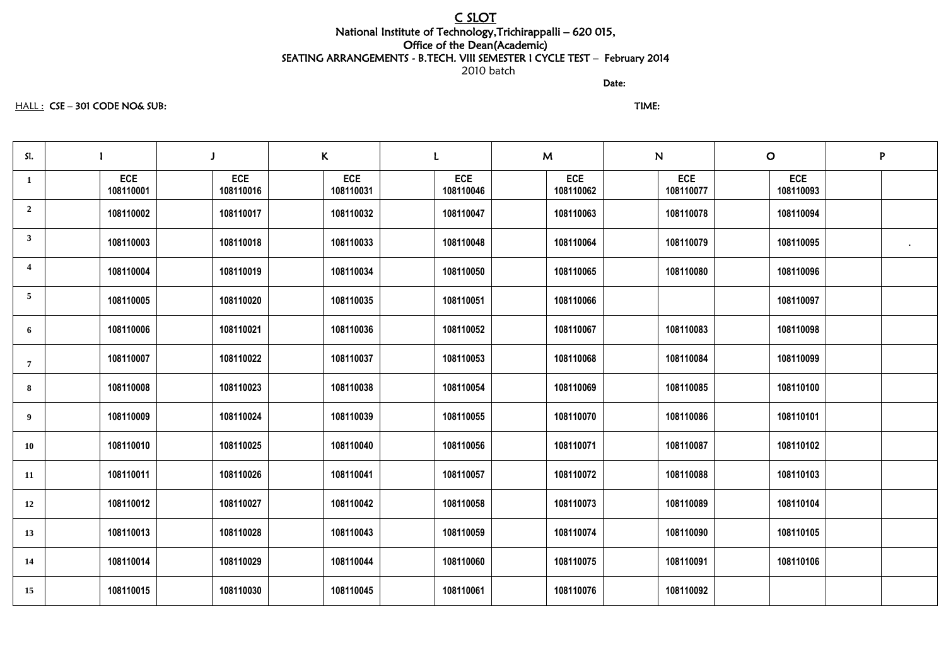# C SLOT

### National Institute of Technology,Trichirappalli – 620 015, Office of the Dean(Academic) SEATING ARRANGEMENTS - B.TECH. VIII SEMESTER I CYCLE TEST – February 2014 2010 batch

discussion of the contract of the contract of the Date:

### HALL : CSE – 301 CODE NO& SUB: TIME:

| SI.                     |                         |                         | K                       |                         | M                       | N                       | $\overline{O}$          | P              |
|-------------------------|-------------------------|-------------------------|-------------------------|-------------------------|-------------------------|-------------------------|-------------------------|----------------|
| 1                       | <b>ECE</b><br>108110001 | <b>ECE</b><br>108110016 | <b>ECE</b><br>108110031 | <b>ECE</b><br>108110046 | <b>ECE</b><br>108110062 | <b>ECE</b><br>108110077 | <b>ECE</b><br>108110093 |                |
| $\overline{2}$          | 108110002               | 108110017               | 108110032               | 108110047               | 108110063               | 108110078               | 108110094               |                |
| $\mathbf{3}$            | 108110003               | 108110018               | 108110033               | 108110048               | 108110064               | 108110079               | 108110095               | $\blacksquare$ |
| $\overline{\mathbf{4}}$ | 108110004               | 108110019               | 108110034               | 108110050               | 108110065               | 108110080               | 108110096               |                |
| $5\overline{)}$         | 108110005               | 108110020               | 108110035               | 108110051               | 108110066               |                         | 108110097               |                |
| 6                       | 108110006               | 108110021               | 108110036               | 108110052               | 108110067               | 108110083               | 108110098               |                |
| $\overline{7}$          | 108110007               | 108110022               | 108110037               | 108110053               | 108110068               | 108110084               | 108110099               |                |
| 8                       | 108110008               | 108110023               | 108110038               | 108110054               | 108110069               | 108110085               | 108110100               |                |
| 9                       | 108110009               | 108110024               | 108110039               | 108110055               | 108110070               | 108110086               | 108110101               |                |
| <b>10</b>               | 108110010               | 108110025               | 108110040               | 108110056               | 108110071               | 108110087               | 108110102               |                |
| 11                      | 108110011               | 108110026               | 108110041               | 108110057               | 108110072               | 108110088               | 108110103               |                |
| 12                      | 108110012               | 108110027               | 108110042               | 108110058               | 108110073               | 108110089               | 108110104               |                |
| 13                      | 108110013               | 108110028               | 108110043               | 108110059               | 108110074               | 108110090               | 108110105               |                |
| 14                      | 108110014               | 108110029               | 108110044               | 108110060               | 108110075               | 108110091               | 108110106               |                |
| 15                      | 108110015               | 108110030               | 108110045               | 108110061               | 108110076               | 108110092               |                         |                |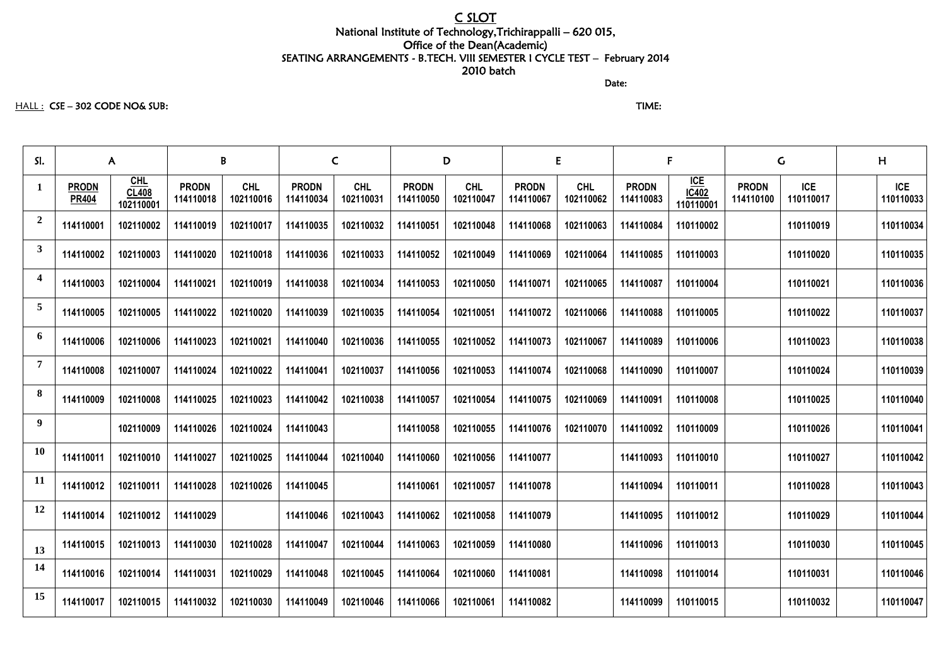## C SLOT

### National Institute of Technology,Trichirappalli – 620 015, Office of the Dean(Academic) SEATING ARRANGEMENTS - B.TECH. VIII SEMESTER I CYCLE TEST – February 2014 2010 batch

discussion of the contract of the contract of the Date:

### HALL : CSE – 302 CODE NO& SUB: TIME:

| SI.            | $\mathsf{A}$                 |                             | B                         |                         | $\mathsf{C}$              |                         | D                         |                         | E,                        |                         |                           |                               | $\mathsf{G}$              |                         | H |                         |
|----------------|------------------------------|-----------------------------|---------------------------|-------------------------|---------------------------|-------------------------|---------------------------|-------------------------|---------------------------|-------------------------|---------------------------|-------------------------------|---------------------------|-------------------------|---|-------------------------|
| $\mathbf{1}$   | <b>PRODN</b><br><b>PR404</b> | $CHL$<br>CL408<br>102110001 | <b>PRODN</b><br>114110018 | <b>CHL</b><br>102110016 | <b>PRODN</b><br>114110034 | <b>CHL</b><br>102110031 | <b>PRODN</b><br>114110050 | <b>CHL</b><br>102110047 | <b>PRODN</b><br>114110067 | <b>CHL</b><br>102110062 | <b>PRODN</b><br>114110083 | $ICE$<br>$IC402$<br>110110001 | <b>PRODN</b><br>114110100 | <b>ICE</b><br>110110017 |   | <b>ICE</b><br>110110033 |
| $\overline{2}$ | 114110001                    | 102110002                   | 114110019                 | 102110017               | 114110035                 | 102110032               | 114110051                 | 102110048               | 114110068                 | 102110063               | 114110084                 | 110110002                     |                           | 110110019               |   | 110110034               |
| $\mathbf{3}$   | 114110002                    | 102110003                   | 114110020                 | 102110018               | 114110036                 | 102110033               | 114110052                 | 102110049               | 114110069                 | 102110064               | 114110085                 | 110110003                     |                           | 110110020               |   | 110110035               |
| 4              | 114110003                    | 102110004                   | 114110021                 | 102110019               | 114110038                 | 102110034               | 114110053                 | 102110050               | 114110071                 | 102110065               | 114110087                 | 110110004                     |                           | 110110021               |   | 110110036               |
| 5              | 114110005                    | 102110005                   | 114110022                 | 102110020               | 114110039                 | 102110035               | 114110054                 | 102110051               | 114110072                 | 102110066               | 114110088                 | 110110005                     |                           | 110110022               |   | 110110037               |
| 6              | 114110006                    | 102110006                   | 114110023                 | 102110021               | 114110040                 | 102110036               | 114110055                 | 102110052               | 114110073                 | 102110067               | 114110089                 | 110110006                     |                           | 110110023               |   | 110110038               |
|                | 114110008                    | 102110007                   | 114110024                 | 102110022               | 114110041                 | 102110037               | 114110056                 | 102110053               | 114110074                 | 102110068               | 114110090                 | 110110007                     |                           | 110110024               |   | 110110039               |
| 8              | 114110009                    | 102110008                   | 114110025                 | 102110023               | 114110042                 | 102110038               | 114110057                 | 102110054               | 114110075                 | 102110069               | 114110091                 | 110110008                     |                           | 110110025               |   | 110110040               |
| 9              |                              | 102110009                   | 114110026                 | 102110024               | 114110043                 |                         | 114110058                 | 102110055               | 114110076                 | 102110070               | 114110092                 | 110110009                     |                           | 110110026               |   | 110110041               |
| <b>10</b>      | 114110011                    | 102110010                   | 114110027                 | 102110025               | 114110044                 | 102110040               | 114110060                 | 102110056               | 114110077                 |                         | 114110093                 | 110110010                     |                           | 110110027               |   | 110110042               |
| <b>11</b>      | 114110012                    | 102110011                   | 114110028                 | 102110026               | 114110045                 |                         | 114110061                 | 102110057               | 114110078                 |                         | 114110094                 | 110110011                     |                           | 110110028               |   | 110110043               |
| 12             | 114110014                    | 102110012                   | 114110029                 |                         | 114110046                 | 102110043               | 114110062                 | 102110058               | 114110079                 |                         | 114110095                 | 110110012                     |                           | 110110029               |   | 110110044               |
| 13             | 114110015                    | 102110013                   | 114110030                 | 102110028               | 114110047                 | 102110044               | 114110063                 | 102110059               | 114110080                 |                         | 114110096                 | 110110013                     |                           | 110110030               |   | 110110045               |
| 14             | 114110016                    | 102110014                   | 114110031                 | 102110029               | 114110048                 | 102110045               | 114110064                 | 102110060               | 114110081                 |                         | 114110098                 | 110110014                     |                           | 110110031               |   | 110110046               |
| 15             | 114110017                    | 102110015                   | 114110032                 | 102110030               | 114110049                 | 102110046               | 114110066                 | 102110061               | 114110082                 |                         | 114110099                 | 110110015                     |                           | 110110032               |   | 110110047               |